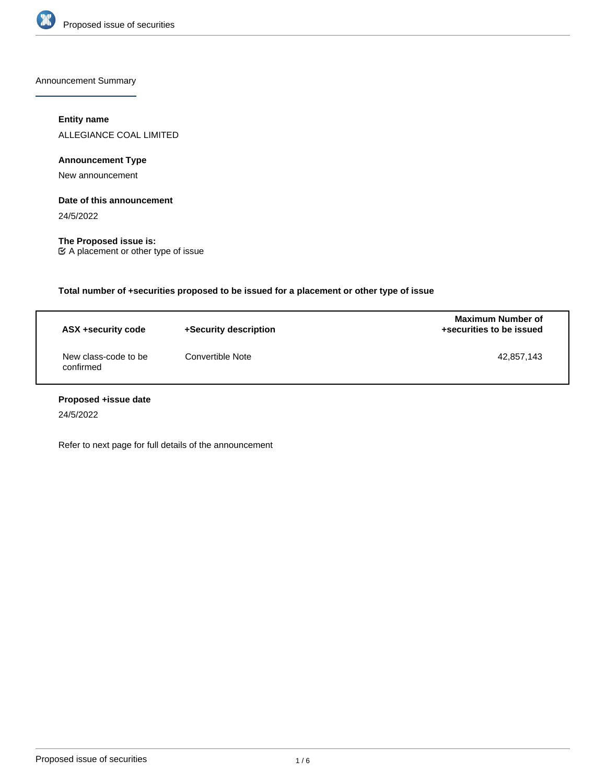

Announcement Summary

# **Entity name**

ALLEGIANCE COAL LIMITED

**Announcement Type**

New announcement

#### **Date of this announcement**

24/5/2022

**The Proposed issue is:** A placement or other type of issue

**Total number of +securities proposed to be issued for a placement or other type of issue**

| ASX +security code                | +Security description | <b>Maximum Number of</b><br>+securities to be issued |
|-----------------------------------|-----------------------|------------------------------------------------------|
| New class-code to be<br>confirmed | Convertible Note      | 42,857,143                                           |

# **Proposed +issue date**

24/5/2022

Refer to next page for full details of the announcement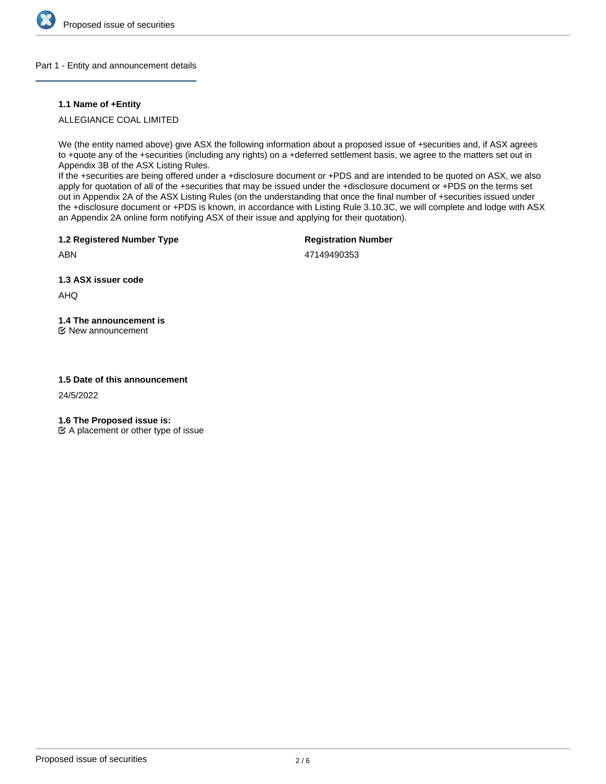

#### Part 1 - Entity and announcement details

#### **1.1 Name of +Entity**

# ALLEGIANCE COAL LIMITED

We (the entity named above) give ASX the following information about a proposed issue of +securities and, if ASX agrees to +quote any of the +securities (including any rights) on a +deferred settlement basis, we agree to the matters set out in Appendix 3B of the ASX Listing Rules.

If the +securities are being offered under a +disclosure document or +PDS and are intended to be quoted on ASX, we also apply for quotation of all of the +securities that may be issued under the +disclosure document or +PDS on the terms set out in Appendix 2A of the ASX Listing Rules (on the understanding that once the final number of +securities issued under the +disclosure document or +PDS is known, in accordance with Listing Rule 3.10.3C, we will complete and lodge with ASX an Appendix 2A online form notifying ASX of their issue and applying for their quotation).

**1.2 Registered Number Type**

**Registration Number**

ABN

47149490353

**1.3 ASX issuer code**

AHQ

# **1.4 The announcement is**

New announcement

#### **1.5 Date of this announcement**

24/5/2022

**1.6 The Proposed issue is:**

 $\mathfrak{C}$  A placement or other type of issue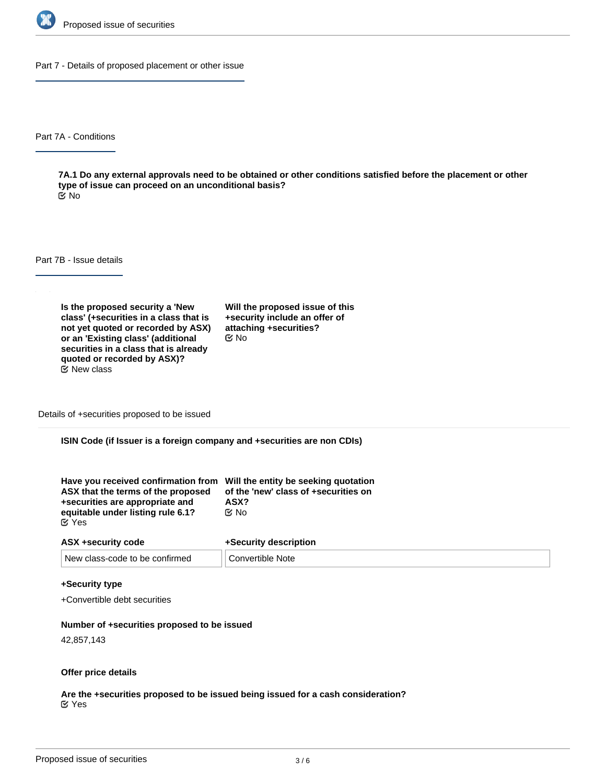

Part 7 - Details of proposed placement or other issue

Part 7A - Conditions

**7A.1 Do any external approvals need to be obtained or other conditions satisfied before the placement or other type of issue can proceed on an unconditional basis?** No

Part 7B - Issue details

**Is the proposed security a 'New class' (+securities in a class that is not yet quoted or recorded by ASX) or an 'Existing class' (additional securities in a class that is already quoted or recorded by ASX)?**  $E$  New class

**Will the proposed issue of this +security include an offer of attaching +securities?** No

Details of +securities proposed to be issued

**ISIN Code (if Issuer is a foreign company and +securities are non CDIs)**

| Have you received confirmation from Will the entity be seeking quotation<br>ASX that the terms of the proposed | of the 'new' class of +securities on |
|----------------------------------------------------------------------------------------------------------------|--------------------------------------|
| +securities are appropriate and                                                                                | ASX?                                 |
| equitable under listing rule 6.1?                                                                              | ় No                                 |
| <b>E</b> Yes                                                                                                   |                                      |

| ASX +security code             | +Security description |
|--------------------------------|-----------------------|
| New class-code to be confirmed | Convertible Note      |

#### **+Security type**

+Convertible debt securities

#### **Number of +securities proposed to be issued**

42,857,143

#### **Offer price details**

**Are the +securities proposed to be issued being issued for a cash consideration?** Yes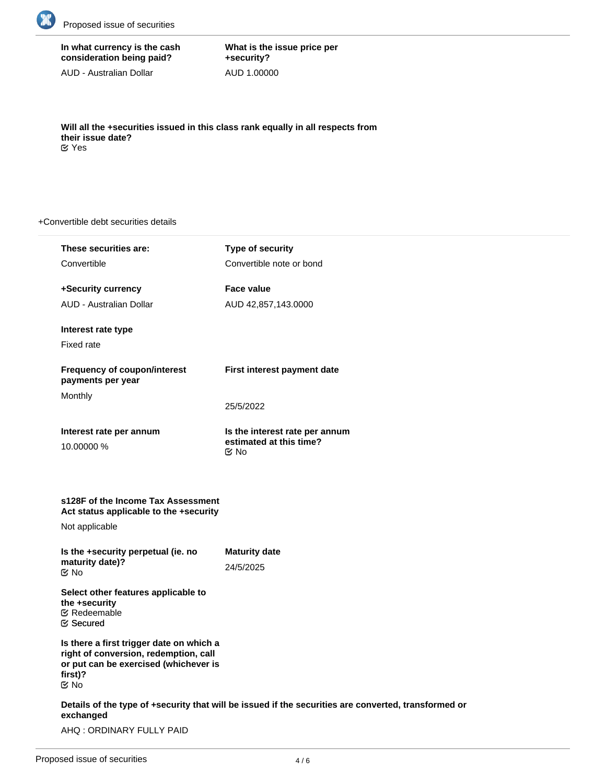

# **In what currency is the cash consideration being paid?**

AUD - Australian Dollar

**What is the issue price per +security?** AUD 1.00000

**Will all the +securities issued in this class rank equally in all respects from their issue date?** Yes

#### +Convertible debt securities details

| These securities are:                                                                                                                          | Type of security                                                                                     |
|------------------------------------------------------------------------------------------------------------------------------------------------|------------------------------------------------------------------------------------------------------|
| Convertible                                                                                                                                    | Convertible note or bond                                                                             |
| +Security currency                                                                                                                             | <b>Face value</b>                                                                                    |
| AUD - Australian Dollar                                                                                                                        | AUD 42,857,143.0000                                                                                  |
| Interest rate type<br><b>Fixed rate</b>                                                                                                        |                                                                                                      |
| <b>Frequency of coupon/interest</b><br>payments per year                                                                                       | First interest payment date                                                                          |
| Monthly                                                                                                                                        | 25/5/2022                                                                                            |
| Interest rate per annum<br>10.00000 %                                                                                                          | Is the interest rate per annum<br>estimated at this time?<br>M No                                    |
| s128F of the Income Tax Assessment<br>Act status applicable to the +security<br>Not applicable                                                 |                                                                                                      |
| Is the +security perpetual (ie. no<br>maturity date)?<br><b>Mo</b>                                                                             | <b>Maturity date</b><br>24/5/2025                                                                    |
| Select other features applicable to<br>the +security<br><b>∉</b> Redeemable<br><b>E</b> Secured                                                |                                                                                                      |
| Is there a first trigger date on which a<br>right of conversion, redemption, call<br>or put can be exercised (whichever is<br>first)?<br>Mo No |                                                                                                      |
| exchanged                                                                                                                                      | Details of the type of +security that will be issued if the securities are converted, transformed or |

AHQ : ORDINARY FULLY PAID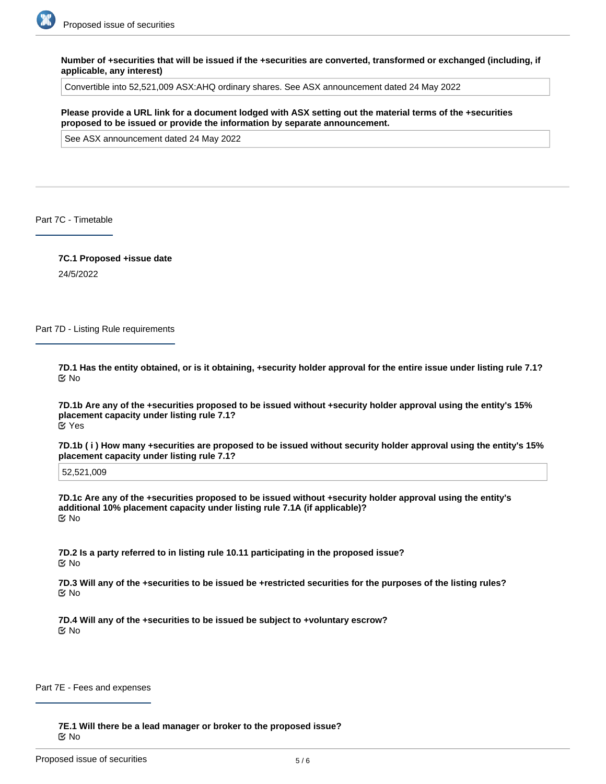

**Number of +securities that will be issued if the +securities are converted, transformed or exchanged (including, if applicable, any interest)**

Convertible into 52,521,009 ASX:AHQ ordinary shares. See ASX announcement dated 24 May 2022

**Please provide a URL link for a document lodged with ASX setting out the material terms of the +securities proposed to be issued or provide the information by separate announcement.**

See ASX announcement dated 24 May 2022

Part 7C - Timetable

**7C.1 Proposed +issue date** 24/5/2022

Part 7D - Listing Rule requirements

**7D.1 Has the entity obtained, or is it obtaining, +security holder approval for the entire issue under listing rule 7.1?** No

**7D.1b Are any of the +securities proposed to be issued without +security holder approval using the entity's 15% placement capacity under listing rule 7.1?** Yes

**7D.1b ( i ) How many +securities are proposed to be issued without security holder approval using the entity's 15% placement capacity under listing rule 7.1?**

52,521,009

**7D.1c Are any of the +securities proposed to be issued without +security holder approval using the entity's additional 10% placement capacity under listing rule 7.1A (if applicable)?** No

**7D.2 Is a party referred to in listing rule 10.11 participating in the proposed issue?** No

**7D.3 Will any of the +securities to be issued be +restricted securities for the purposes of the listing rules?** No

**7D.4 Will any of the +securities to be issued be subject to +voluntary escrow?** No

Part 7E - Fees and expenses

**7E.1 Will there be a lead manager or broker to the proposed issue?** No